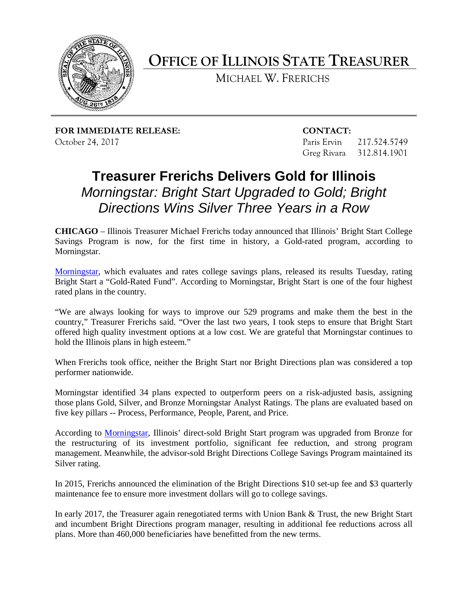

**OFFICE OF ILLINOIS STATE TREASURER** 

MICHAEL W. FRERICHS

**FOR IMMEDIATE RELEASE: CONTACT:** October 24, 2017 Paris Ervin 217.524.5749

Greg Rivara 312.814.1901

## *Directions Wins Silver Three Years in a Row*  **Treasurer Frerichs Delivers Gold for Illinois**  *Morningstar: Bright Start Upgraded to Gold; Bright*

 **CHICAGO** – Illinois Treasurer Michael Frerichs today announced that Illinois' Bright Start College Savings Program is now, for the first time in history, a Gold-rated program, according to Morningstar.

 Bright Start a "Gold-Rated Fund". According to Morningstar, Bright Start is one of the four highest Morningstar. [Morningstar,](http://news.morningstar.com/articlenet/article.aspx?id=830917) which evaluates and rates college savings plans, released its results Tuesday, rating rated plans in the country.

 "We are always looking for ways to improve our 529 programs and make them the best in the country," Treasurer Frerichs said. "Over the last two years, I took steps to ensure that Bright Start offered high quality investment options at a low cost. We are grateful that Morningstar continues to hold the Illinois plans in high esteem."

 When Frerichs took office, neither the Bright Start nor Bright Directions plan was considered a top performer nationwide.

 Morningstar identified 34 plans expected to outperform peers on a risk-adjusted basis, assigning five key pillars -- Process, Performance, People, Parent, and Price. those plans Gold, Silver, and Bronze Morningstar Analyst Ratings. The plans are evaluated based on

 management. Meanwhile, the advisor-sold Bright Directions College Savings Program maintained its According to [Morningstar,](http://news.morningstar.com/Cover/videoCenter.aspx?id=830612) Illinois' direct-sold Bright Start program was upgraded from Bronze for the restructuring of its investment portfolio, significant fee reduction, and strong program Silver rating.

 In 2015, Frerichs announced the elimination of the Bright Directions \$10 set-up fee and \$3 quarterly maintenance fee to ensure more investment dollars will go to college savings.

 In early 2017, the Treasurer again renegotiated terms with Union Bank & Trust, the new Bright Start plans. More than 460,000 beneficiaries have benefitted from the new terms. and incumbent Bright Directions program manager, resulting in additional fee reductions across all